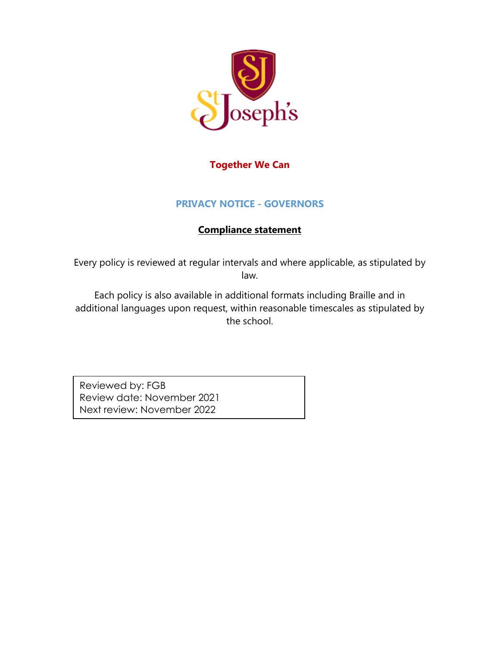

### **Together We Can**

### **PRIVACY NOTICE - GOVERNORS**

### **Compliance statement**

Every policy is reviewed at regular intervals and where applicable, as stipulated by law.

Each policy is also available in additional formats including Braille and in additional languages upon request, within reasonable timescales as stipulated by the school.

Reviewed by: FGB Review date: November 2021 Next review: November 2022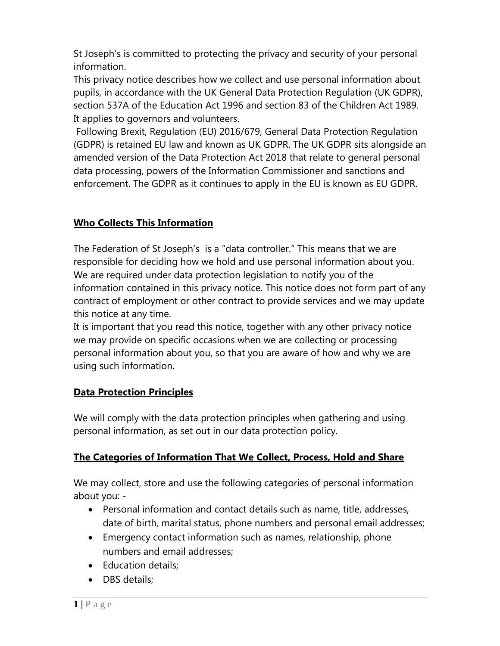St Joseph's is committed to protecting the privacy and security of your personal information.

This privacy notice describes how we collect and use personal information about pupils, in accordance with the UK General Data Protection Regulation (UK GDPR), section 537A of the Education Act 1996 and section 83 of the Children Act 1989. It applies to governors and volunteers.

Following Brexit, Regulation (EU) 2016/679, General Data Protection Regulation (GDPR) is retained EU law and known as UK GDPR. The UK GDPR sits alongside an amended version of the Data Protection Act 2018 that relate to general personal data processing, powers of the Information Commissioner and sanctions and enforcement. The GDPR as it continues to apply in the EU is known as EU GDPR.

## **Who Collects This Information**

The Federation of St Joseph's is a "data controller." This means that we are responsible for deciding how we hold and use personal information about you. We are required under data protection legislation to notify you of the information contained in this privacy notice. This notice does not form part of any contract of employment or other contract to provide services and we may update this notice at any time.

It is important that you read this notice, together with any other privacy notice we may provide on specific occasions when we are collecting or processing personal information about you, so that you are aware of how and why we are using such information.

#### **Data Protection Principles**

We will comply with the data protection principles when gathering and using personal information, as set out in our data protection policy.

## **The Categories of Information That We Collect, Process, Hold and Share**

We may collect, store and use the following categories of personal information about you: -

- Personal information and contact details such as name, title, addresses, date of birth, marital status, phone numbers and personal email addresses;
- Emergency contact information such as names, relationship, phone numbers and email addresses;
- Education details;
- DBS details;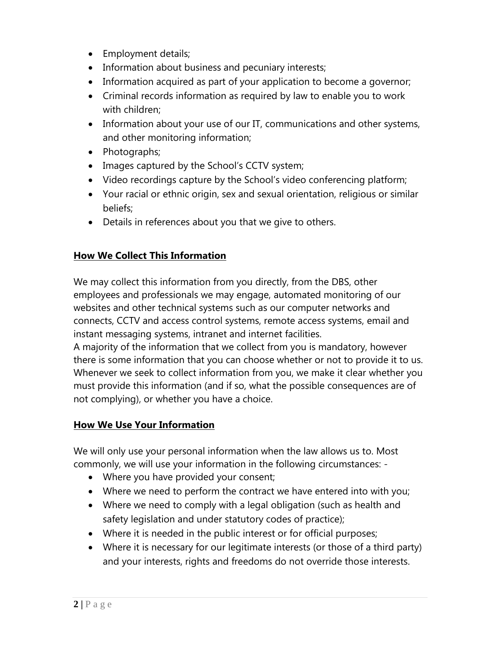- Employment details;
- Information about business and pecuniary interests;
- Information acquired as part of your application to become a governor;
- Criminal records information as required by law to enable you to work with children;
- Information about your use of our IT, communications and other systems, and other monitoring information;
- Photographs;
- Images captured by the School's CCTV system;
- Video recordings capture by the School's video conferencing platform;
- Your racial or ethnic origin, sex and sexual orientation, religious or similar beliefs;
- Details in references about you that we give to others.

## **How We Collect This Information**

We may collect this information from you directly, from the DBS, other employees and professionals we may engage, automated monitoring of our websites and other technical systems such as our computer networks and connects, CCTV and access control systems, remote access systems, email and instant messaging systems, intranet and internet facilities.

A majority of the information that we collect from you is mandatory, however there is some information that you can choose whether or not to provide it to us. Whenever we seek to collect information from you, we make it clear whether you must provide this information (and if so, what the possible consequences are of not complying), or whether you have a choice.

## **How We Use Your Information**

We will only use your personal information when the law allows us to. Most commonly, we will use your information in the following circumstances: -

- Where you have provided your consent;
- Where we need to perform the contract we have entered into with you;
- Where we need to comply with a legal obligation (such as health and safety legislation and under statutory codes of practice);
- Where it is needed in the public interest or for official purposes;
- Where it is necessary for our legitimate interests (or those of a third party) and your interests, rights and freedoms do not override those interests.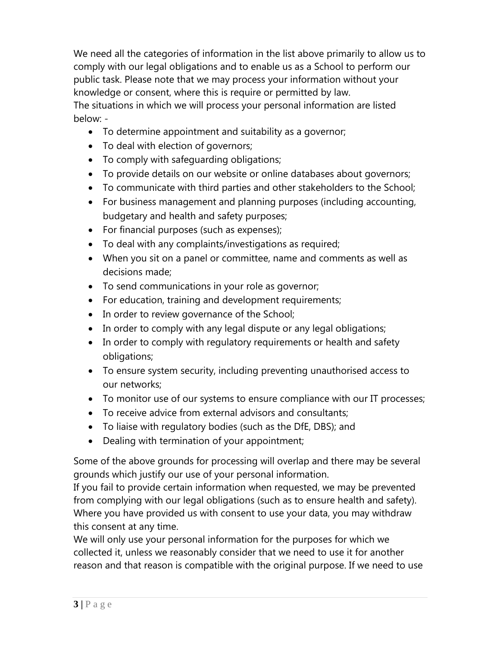We need all the categories of information in the list above primarily to allow us to comply with our legal obligations and to enable us as a School to perform our public task. Please note that we may process your information without your knowledge or consent, where this is require or permitted by law. The situations in which we will process your personal information are listed below: -

- To determine appointment and suitability as a governor;
- To deal with election of governors;
- To comply with safeguarding obligations;
- To provide details on our website or online databases about governors;
- To communicate with third parties and other stakeholders to the School;
- For business management and planning purposes (including accounting, budgetary and health and safety purposes;
- For financial purposes (such as expenses);
- To deal with any complaints/investigations as required;
- When you sit on a panel or committee, name and comments as well as decisions made;
- To send communications in your role as governor;
- For education, training and development requirements;
- In order to review governance of the School;
- In order to comply with any legal dispute or any legal obligations;
- In order to comply with regulatory requirements or health and safety obligations;
- To ensure system security, including preventing unauthorised access to our networks;
- To monitor use of our systems to ensure compliance with our IT processes;
- To receive advice from external advisors and consultants;
- To liaise with regulatory bodies (such as the DfE, DBS); and
- Dealing with termination of your appointment;

Some of the above grounds for processing will overlap and there may be several grounds which justify our use of your personal information.

If you fail to provide certain information when requested, we may be prevented from complying with our legal obligations (such as to ensure health and safety). Where you have provided us with consent to use your data, you may withdraw this consent at any time.

We will only use your personal information for the purposes for which we collected it, unless we reasonably consider that we need to use it for another reason and that reason is compatible with the original purpose. If we need to use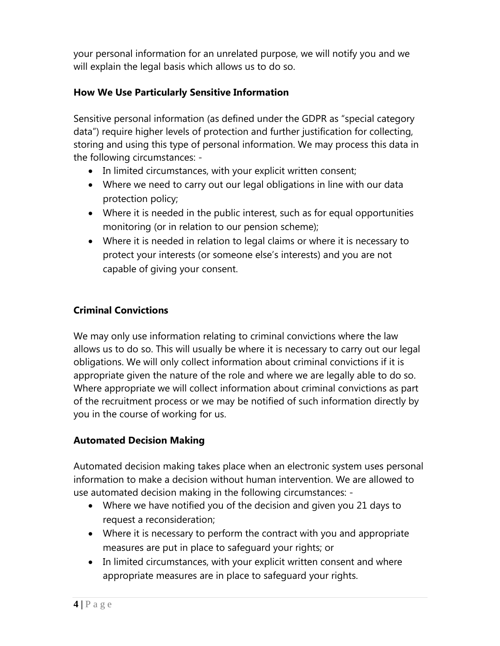your personal information for an unrelated purpose, we will notify you and we will explain the legal basis which allows us to do so.

## **How We Use Particularly Sensitive Information**

Sensitive personal information (as defined under the GDPR as "special category data") require higher levels of protection and further justification for collecting, storing and using this type of personal information. We may process this data in the following circumstances: -

- In limited circumstances, with your explicit written consent;
- Where we need to carry out our legal obligations in line with our data protection policy;
- Where it is needed in the public interest, such as for equal opportunities monitoring (or in relation to our pension scheme);
- Where it is needed in relation to legal claims or where it is necessary to protect your interests (or someone else's interests) and you are not capable of giving your consent.

# **Criminal Convictions**

We may only use information relating to criminal convictions where the law allows us to do so. This will usually be where it is necessary to carry out our legal obligations. We will only collect information about criminal convictions if it is appropriate given the nature of the role and where we are legally able to do so. Where appropriate we will collect information about criminal convictions as part of the recruitment process or we may be notified of such information directly by you in the course of working for us.

## **Automated Decision Making**

Automated decision making takes place when an electronic system uses personal information to make a decision without human intervention. We are allowed to use automated decision making in the following circumstances: -

- Where we have notified you of the decision and given you 21 days to request a reconsideration;
- Where it is necessary to perform the contract with you and appropriate measures are put in place to safeguard your rights; or
- In limited circumstances, with your explicit written consent and where appropriate measures are in place to safeguard your rights.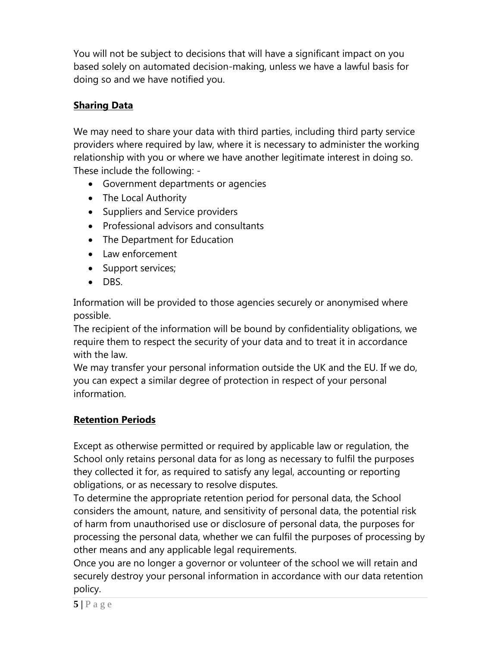You will not be subject to decisions that will have a significant impact on you based solely on automated decision-making, unless we have a lawful basis for doing so and we have notified you.

# **Sharing Data**

We may need to share your data with third parties, including third party service providers where required by law, where it is necessary to administer the working relationship with you or where we have another legitimate interest in doing so. These include the following: -

- Government departments or agencies
- The Local Authority
- Suppliers and Service providers
- Professional advisors and consultants
- The Department for Education
- Law enforcement
- Support services;
- DBS.

Information will be provided to those agencies securely or anonymised where possible.

The recipient of the information will be bound by confidentiality obligations, we require them to respect the security of your data and to treat it in accordance with the law.

We may transfer your personal information outside the UK and the EU. If we do, you can expect a similar degree of protection in respect of your personal information.

# **Retention Periods**

Except as otherwise permitted or required by applicable law or regulation, the School only retains personal data for as long as necessary to fulfil the purposes they collected it for, as required to satisfy any legal, accounting or reporting obligations, or as necessary to resolve disputes.

To determine the appropriate retention period for personal data, the School considers the amount, nature, and sensitivity of personal data, the potential risk of harm from unauthorised use or disclosure of personal data, the purposes for processing the personal data, whether we can fulfil the purposes of processing by other means and any applicable legal requirements.

Once you are no longer a governor or volunteer of the school we will retain and securely destroy your personal information in accordance with our data retention policy.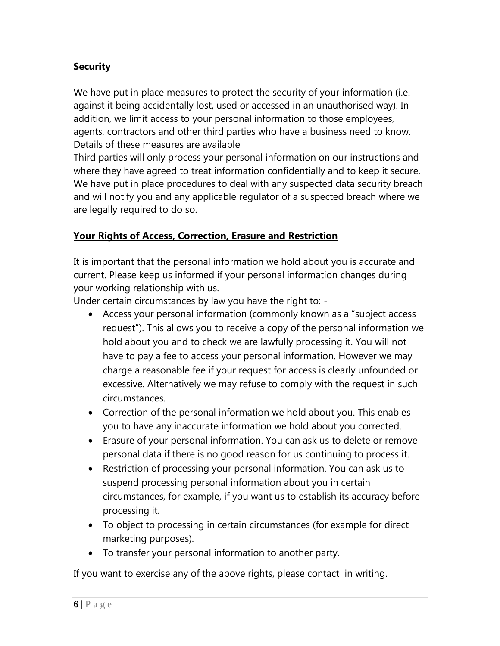# **Security**

We have put in place measures to protect the security of your information (i.e. against it being accidentally lost, used or accessed in an unauthorised way). In addition, we limit access to your personal information to those employees, agents, contractors and other third parties who have a business need to know. Details of these measures are available

Third parties will only process your personal information on our instructions and where they have agreed to treat information confidentially and to keep it secure. We have put in place procedures to deal with any suspected data security breach and will notify you and any applicable regulator of a suspected breach where we are legally required to do so.

#### **Your Rights of Access, Correction, Erasure and Restriction**

It is important that the personal information we hold about you is accurate and current. Please keep us informed if your personal information changes during your working relationship with us.

Under certain circumstances by law you have the right to: -

- Access your personal information (commonly known as a "subject access request"). This allows you to receive a copy of the personal information we hold about you and to check we are lawfully processing it. You will not have to pay a fee to access your personal information. However we may charge a reasonable fee if your request for access is clearly unfounded or excessive. Alternatively we may refuse to comply with the request in such circumstances.
- Correction of the personal information we hold about you. This enables you to have any inaccurate information we hold about you corrected.
- Erasure of your personal information. You can ask us to delete or remove personal data if there is no good reason for us continuing to process it.
- Restriction of processing your personal information. You can ask us to suspend processing personal information about you in certain circumstances, for example, if you want us to establish its accuracy before processing it.
- To object to processing in certain circumstances (for example for direct marketing purposes).
- To transfer your personal information to another party.

If you want to exercise any of the above rights, please contact in writing.